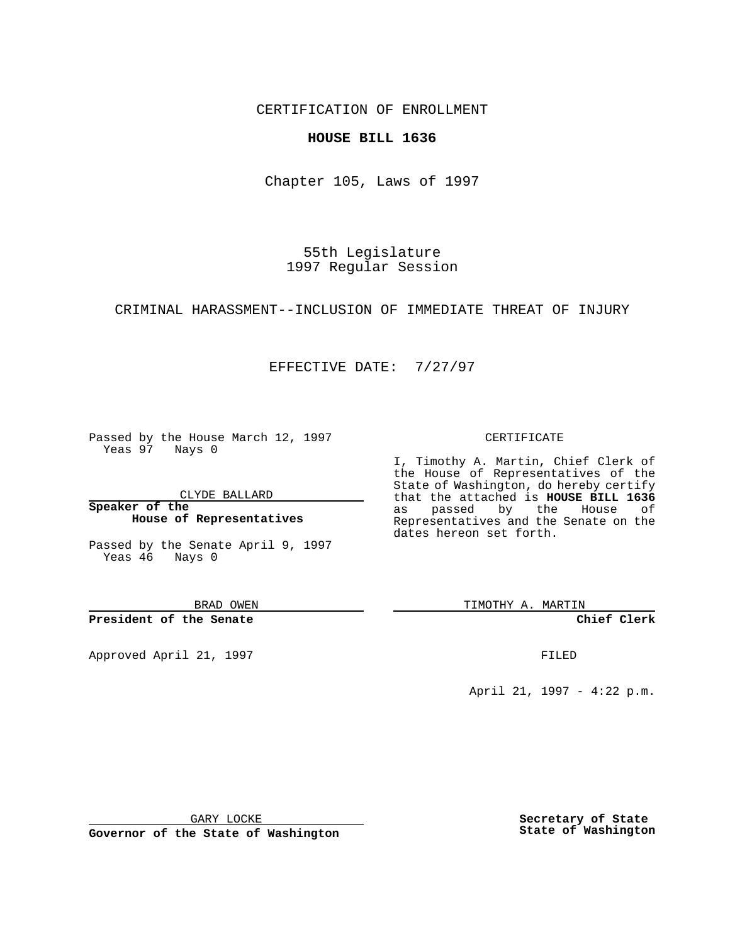CERTIFICATION OF ENROLLMENT

### **HOUSE BILL 1636**

Chapter 105, Laws of 1997

55th Legislature 1997 Regular Session

### CRIMINAL HARASSMENT--INCLUSION OF IMMEDIATE THREAT OF INJURY

## EFFECTIVE DATE: 7/27/97

Passed by the House March 12, 1997 Yeas 97 Nays 0

CLYDE BALLARD

**Speaker of the House of Representatives**

Passed by the Senate April 9, 1997 Yeas 46 Nays 0

BRAD OWEN

**President of the Senate**

Approved April 21, 1997 **FILED** 

#### CERTIFICATE

I, Timothy A. Martin, Chief Clerk of the House of Representatives of the State of Washington, do hereby certify that the attached is **HOUSE BILL 1636** as passed by the House of Representatives and the Senate on the dates hereon set forth.

TIMOTHY A. MARTIN

**Chief Clerk**

April 21, 1997 - 4:22 p.m.

GARY LOCKE

**Governor of the State of Washington**

**Secretary of State State of Washington**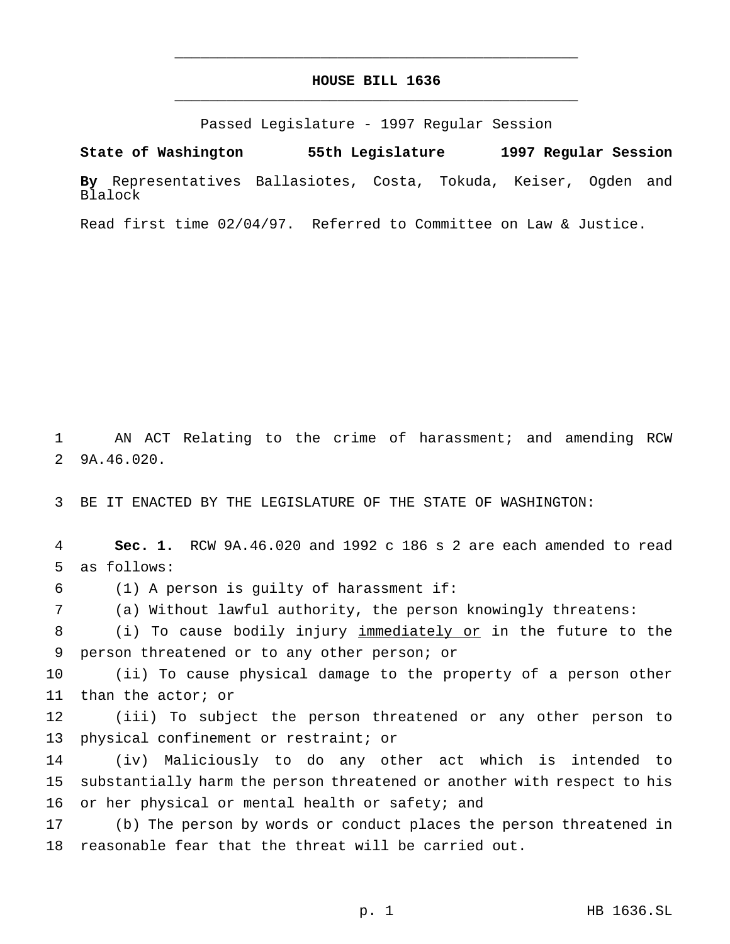# **HOUSE BILL 1636** \_\_\_\_\_\_\_\_\_\_\_\_\_\_\_\_\_\_\_\_\_\_\_\_\_\_\_\_\_\_\_\_\_\_\_\_\_\_\_\_\_\_\_\_\_\_\_

\_\_\_\_\_\_\_\_\_\_\_\_\_\_\_\_\_\_\_\_\_\_\_\_\_\_\_\_\_\_\_\_\_\_\_\_\_\_\_\_\_\_\_\_\_\_\_

Passed Legislature - 1997 Regular Session

**State of Washington 55th Legislature 1997 Regular Session**

**By** Representatives Ballasiotes, Costa, Tokuda, Keiser, Ogden and Blalock

Read first time 02/04/97. Referred to Committee on Law & Justice.

 AN ACT Relating to the crime of harassment; and amending RCW 9A.46.020.

BE IT ENACTED BY THE LEGISLATURE OF THE STATE OF WASHINGTON:

 **Sec. 1.** RCW 9A.46.020 and 1992 c 186 s 2 are each amended to read as follows:

(1) A person is guilty of harassment if:

(a) Without lawful authority, the person knowingly threatens:

 (i) To cause bodily injury immediately or in the future to the person threatened or to any other person; or

 (ii) To cause physical damage to the property of a person other than the actor; or

 (iii) To subject the person threatened or any other person to physical confinement or restraint; or

 (iv) Maliciously to do any other act which is intended to substantially harm the person threatened or another with respect to his 16 or her physical or mental health or safety; and

 (b) The person by words or conduct places the person threatened in reasonable fear that the threat will be carried out.